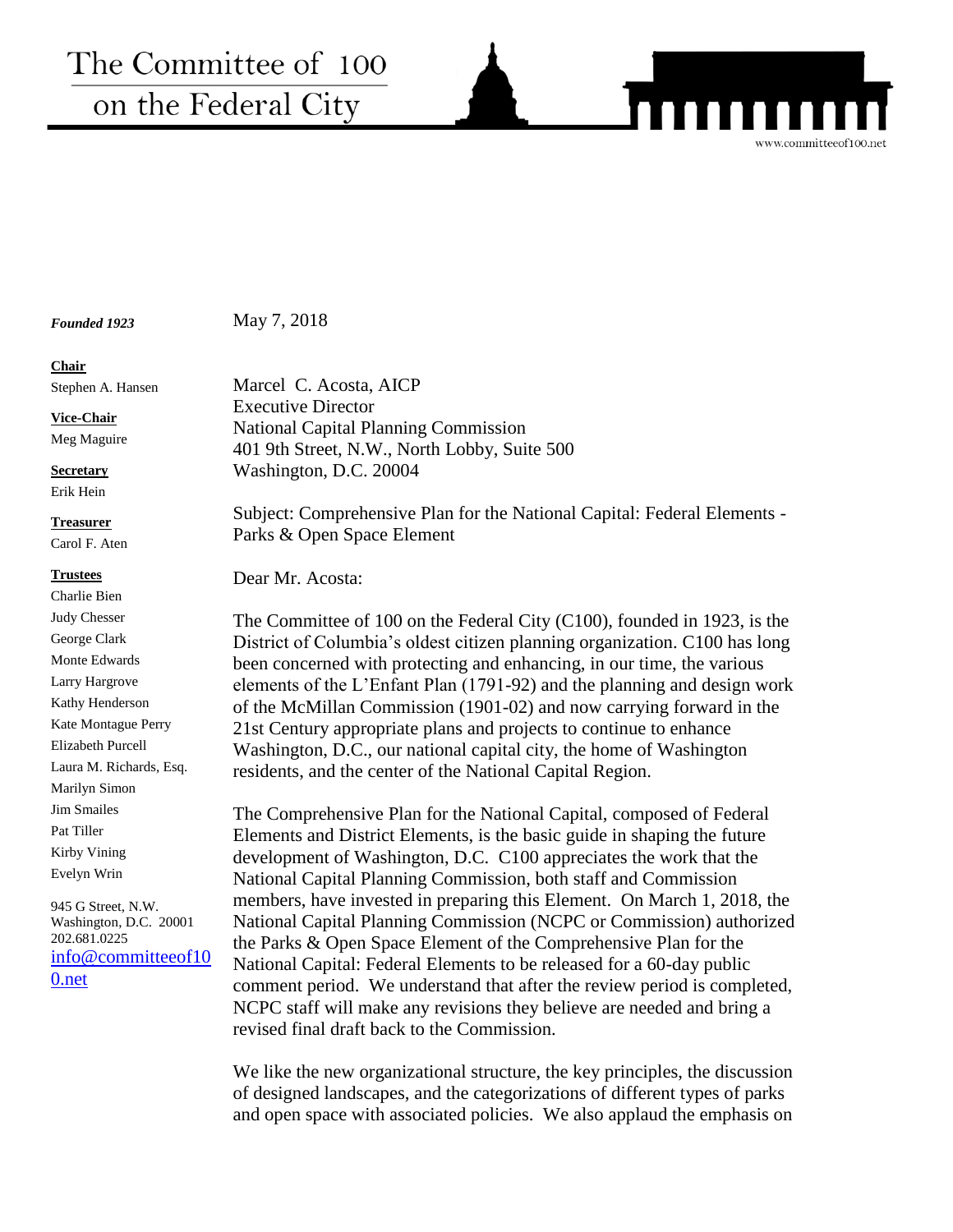# The Committee of 100 on the Federal City

*Founded 1923*

May 7, 2018

#### **Chair**

Stephen A. Hansen

**Vice-Chair**

Meg Maguire

**Secretary**

Erik Hein

#### **Treasurer**

Carol F. Aten

#### **Trustees**

Charlie Bien Judy Chesser George Clark Monte Edwards Larry Hargrove Kathy Henderson Kate Montague Perry Elizabeth Purcell Laura M. Richards, Esq. Marilyn Simon Jim Smailes Pat Tiller Kirby Vining Evelyn Wrin

945 G Street, N.W. Washington, D.C. 20001 202.681.0225 [info@committeeof10](mailto:info@committeeof100.net) [0.net](mailto:info@committeeof100.net)

Marcel C. Acosta, AICP Executive Director National Capital Planning Commission 401 9th Street, N.W., North Lobby, Suite 500 Washington, D.C. 20004

Subject: Comprehensive Plan for the National Capital: Federal Elements - Parks & Open Space Element

www.committeeof100.net

Dear Mr. Acosta:

The Committee of 100 on the Federal City (C100), founded in 1923, is the District of Columbia's oldest citizen planning organization. C100 has long been concerned with protecting and enhancing, in our time, the various elements of the L'Enfant Plan (1791-92) and the planning and design work of the McMillan Commission (1901-02) and now carrying forward in the 21st Century appropriate plans and projects to continue to enhance Washington, D.C., our national capital city, the home of Washington residents, and the center of the National Capital Region.

The Comprehensive Plan for the National Capital, composed of Federal Elements and District Elements, is the basic guide in shaping the future development of Washington, D.C. C100 appreciates the work that the National Capital Planning Commission, both staff and Commission members, have invested in preparing this Element. On March 1, 2018, the National Capital Planning Commission (NCPC or Commission) authorized the Parks & Open Space Element of the Comprehensive Plan for the National Capital: Federal Elements to be released for a 60-day public comment period. We understand that after the review period is completed, NCPC staff will make any revisions they believe are needed and bring a revised final draft back to the Commission.

We like the new organizational structure, the key principles, the discussion of designed landscapes, and the categorizations of different types of parks and open space with associated policies. We also applaud the emphasis on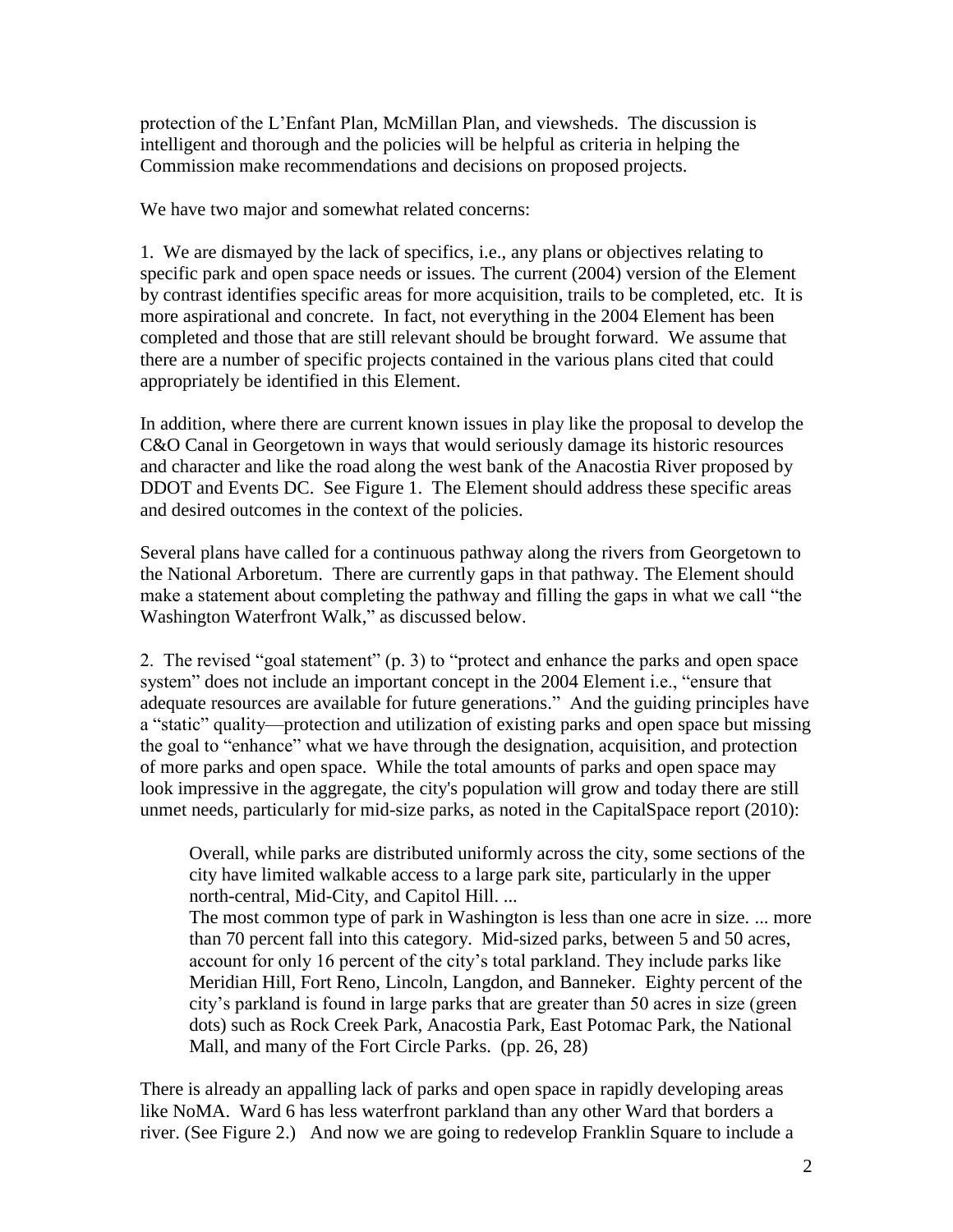protection of the L'Enfant Plan, McMillan Plan, and viewsheds. The discussion is intelligent and thorough and the policies will be helpful as criteria in helping the Commission make recommendations and decisions on proposed projects.

We have two major and somewhat related concerns:

1. We are dismayed by the lack of specifics, i.e., any plans or objectives relating to specific park and open space needs or issues. The current (2004) version of the Element by contrast identifies specific areas for more acquisition, trails to be completed, etc. It is more aspirational and concrete. In fact, not everything in the 2004 Element has been completed and those that are still relevant should be brought forward. We assume that there are a number of specific projects contained in the various plans cited that could appropriately be identified in this Element.

In addition, where there are current known issues in play like the proposal to develop the C&O Canal in Georgetown in ways that would seriously damage its historic resources and character and like the road along the west bank of the Anacostia River proposed by DDOT and Events DC. See Figure 1. The Element should address these specific areas and desired outcomes in the context of the policies.

Several plans have called for a continuous pathway along the rivers from Georgetown to the National Arboretum. There are currently gaps in that pathway. The Element should make a statement about completing the pathway and filling the gaps in what we call "the Washington Waterfront Walk," as discussed below.

2. The revised "goal statement" (p. 3) to "protect and enhance the parks and open space system" does not include an important concept in the 2004 Element i.e., "ensure that adequate resources are available for future generations." And the guiding principles have a "static" quality—protection and utilization of existing parks and open space but missing the goal to "enhance" what we have through the designation, acquisition, and protection of more parks and open space. While the total amounts of parks and open space may look impressive in the aggregate, the city's population will grow and today there are still unmet needs, particularly for mid-size parks, as noted in the CapitalSpace report (2010):

Overall, while parks are distributed uniformly across the city, some sections of the city have limited walkable access to a large park site, particularly in the upper north-central, Mid-City, and Capitol Hill. ...

The most common type of park in Washington is less than one acre in size. ... more than 70 percent fall into this category. Mid-sized parks, between 5 and 50 acres, account for only 16 percent of the city's total parkland. They include parks like Meridian Hill, Fort Reno, Lincoln, Langdon, and Banneker. Eighty percent of the city's parkland is found in large parks that are greater than 50 acres in size (green dots) such as Rock Creek Park, Anacostia Park, East Potomac Park, the National Mall, and many of the Fort Circle Parks. (pp. 26, 28)

There is already an appalling lack of parks and open space in rapidly developing areas like NoMA. Ward 6 has less waterfront parkland than any other Ward that borders a river. (See Figure 2.) And now we are going to redevelop Franklin Square to include a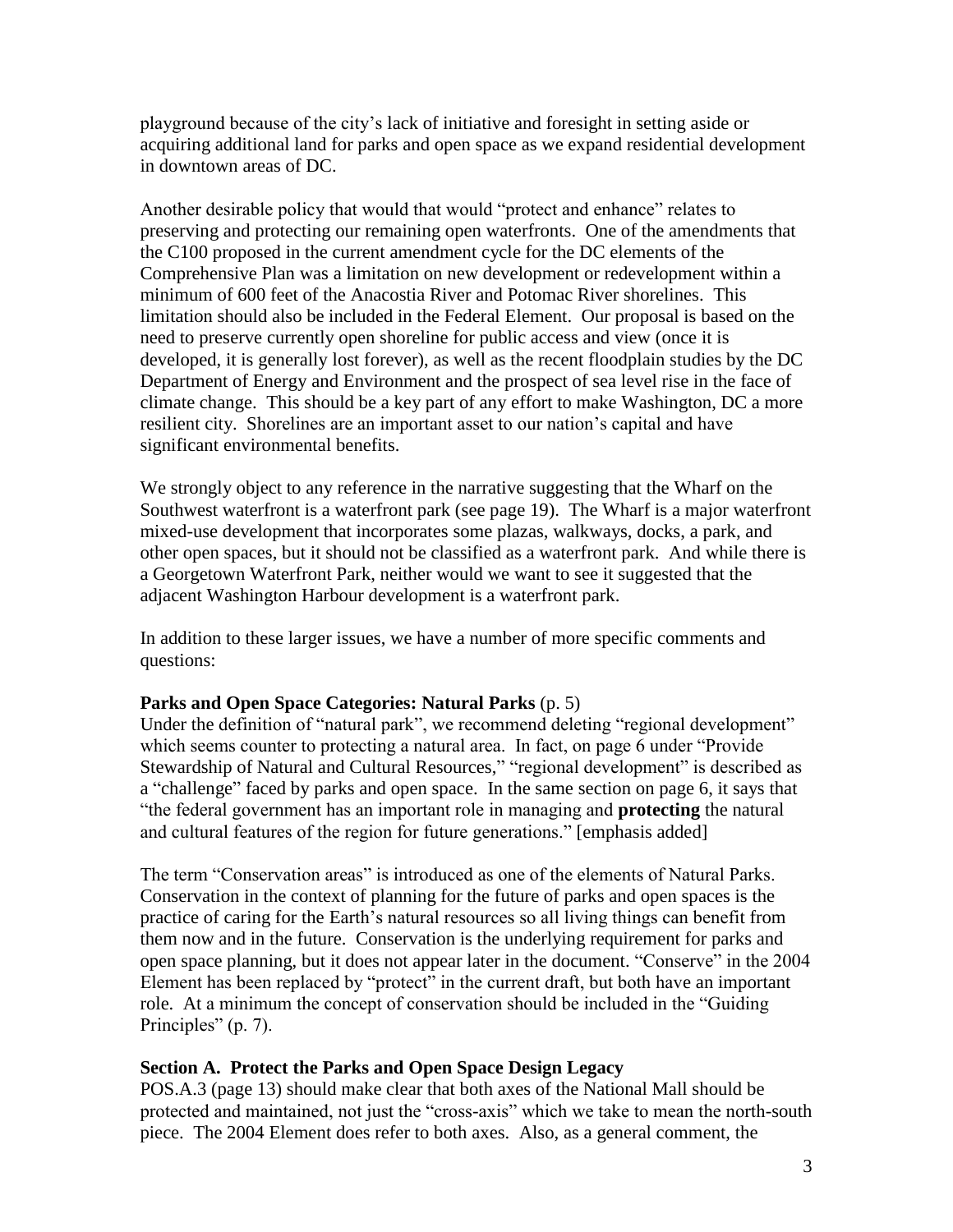playground because of the city's lack of initiative and foresight in setting aside or acquiring additional land for parks and open space as we expand residential development in downtown areas of DC.

Another desirable policy that would that would "protect and enhance" relates to preserving and protecting our remaining open waterfronts. One of the amendments that the C100 proposed in the current amendment cycle for the DC elements of the Comprehensive Plan was a limitation on new development or redevelopment within a minimum of 600 feet of the Anacostia River and Potomac River shorelines. This limitation should also be included in the Federal Element. Our proposal is based on the need to preserve currently open shoreline for public access and view (once it is developed, it is generally lost forever), as well as the recent floodplain studies by the DC Department of Energy and Environment and the prospect of sea level rise in the face of climate change. This should be a key part of any effort to make Washington, DC a more resilient city. Shorelines are an important asset to our nation's capital and have significant environmental benefits.

We strongly object to any reference in the narrative suggesting that the Wharf on the Southwest waterfront is a waterfront park (see page 19). The Wharf is a major waterfront mixed-use development that incorporates some plazas, walkways, docks, a park, and other open spaces, but it should not be classified as a waterfront park. And while there is a Georgetown Waterfront Park, neither would we want to see it suggested that the adjacent Washington Harbour development is a waterfront park.

In addition to these larger issues, we have a number of more specific comments and questions:

#### **Parks and Open Space Categories: Natural Parks** (p. 5)

Under the definition of "natural park", we recommend deleting "regional development" which seems counter to protecting a natural area. In fact, on page 6 under "Provide Stewardship of Natural and Cultural Resources," "regional development" is described as a "challenge" faced by parks and open space. In the same section on page 6, it says that "the federal government has an important role in managing and **protecting** the natural and cultural features of the region for future generations." [emphasis added]

The term "Conservation areas" is introduced as one of the elements of Natural Parks. Conservation in the context of planning for the future of parks and open spaces is the practice of caring for the Earth's natural resources so all living things can benefit from them now and in the future. Conservation is the underlying requirement for parks and open space planning, but it does not appear later in the document. "Conserve" in the 2004 Element has been replaced by "protect" in the current draft, but both have an important role. At a minimum the concept of conservation should be included in the "Guiding Principles" (p. 7).

## **Section A. Protect the Parks and Open Space Design Legacy**

POS.A.3 (page 13) should make clear that both axes of the National Mall should be protected and maintained, not just the "cross-axis" which we take to mean the north-south piece. The 2004 Element does refer to both axes. Also, as a general comment, the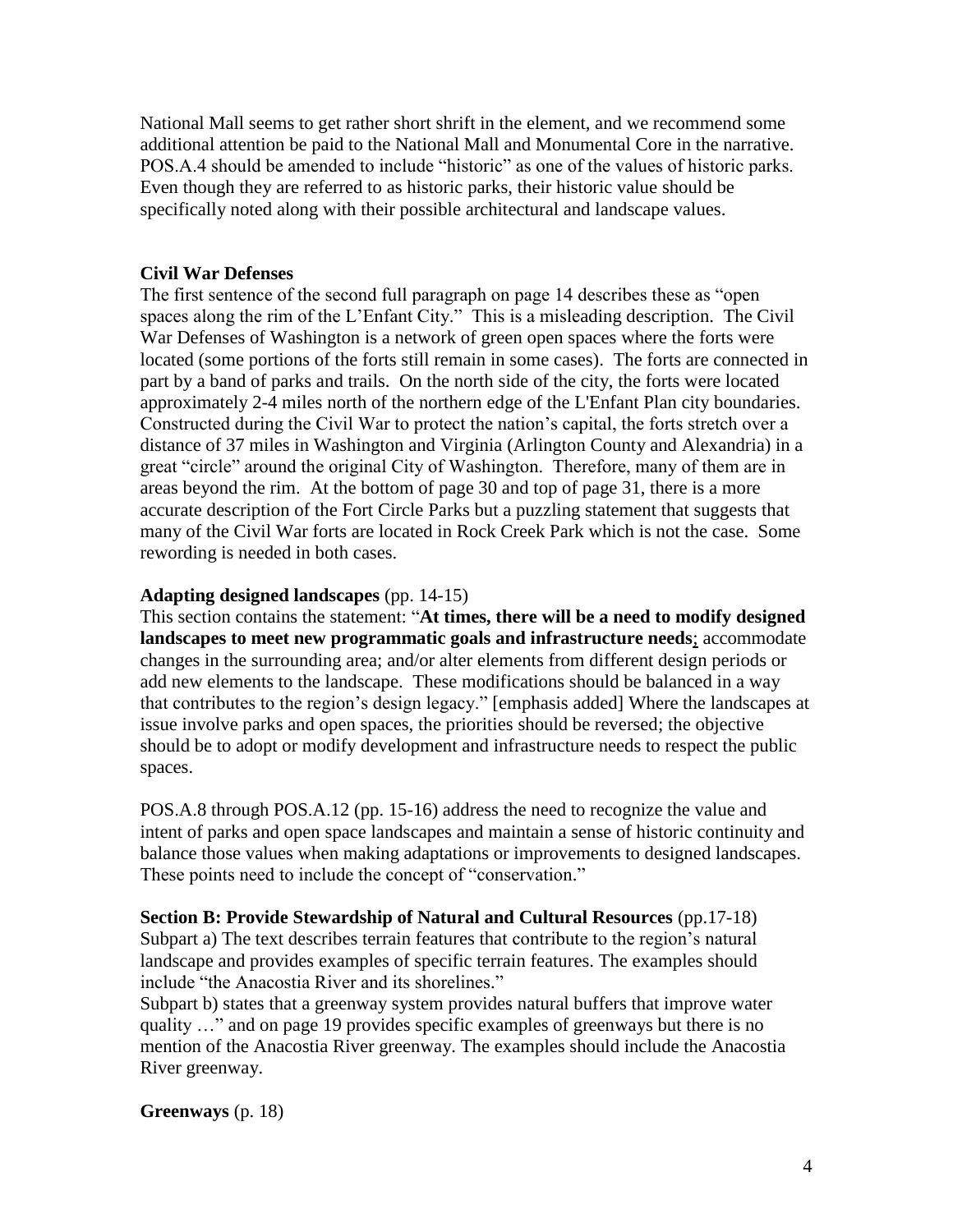National Mall seems to get rather short shrift in the element, and we recommend some additional attention be paid to the National Mall and Monumental Core in the narrative. POS.A.4 should be amended to include "historic" as one of the values of historic parks. Even though they are referred to as historic parks, their historic value should be specifically noted along with their possible architectural and landscape values.

#### **Civil War Defenses**

The first sentence of the second full paragraph on page 14 describes these as "open spaces along the rim of the L'Enfant City." This is a misleading description. The Civil War Defenses of Washington is a network of green open spaces where the forts were located (some portions of the forts still remain in some cases). The forts are connected in part by a band of parks and trails. On the north side of the city, the forts were located approximately 2-4 miles north of the northern edge of the L'Enfant Plan city boundaries. Constructed during the Civil War to protect the nation's capital, the forts stretch over a distance of 37 miles in Washington and Virginia (Arlington County and Alexandria) in a great "circle" around the original City of Washington. Therefore, many of them are in areas beyond the rim. At the bottom of page 30 and top of page 31, there is a more accurate description of the Fort Circle Parks but a puzzling statement that suggests that many of the Civil War forts are located in Rock Creek Park which is not the case. Some rewording is needed in both cases.

#### **Adapting designed landscapes** (pp. 14-15)

This section contains the statement: "**At times, there will be a need to modify designed landscapes to meet new programmatic goals and infrastructure needs**; accommodate changes in the surrounding area; and/or alter elements from different design periods or add new elements to the landscape. These modifications should be balanced in a way that contributes to the region's design legacy." [emphasis added] Where the landscapes at issue involve parks and open spaces, the priorities should be reversed; the objective should be to adopt or modify development and infrastructure needs to respect the public spaces.

POS.A.8 through POS.A.12 (pp. 15-16) address the need to recognize the value and intent of parks and open space landscapes and maintain a sense of historic continuity and balance those values when making adaptations or improvements to designed landscapes. These points need to include the concept of "conservation."

**Section B: Provide Stewardship of Natural and Cultural Resources** (pp.17-18) Subpart a) The text describes terrain features that contribute to the region's natural landscape and provides examples of specific terrain features. The examples should include "the Anacostia River and its shorelines."

Subpart b) states that a greenway system provides natural buffers that improve water quality …" and on page 19 provides specific examples of greenways but there is no mention of the Anacostia River greenway. The examples should include the Anacostia River greenway.

**Greenways** (p. 18)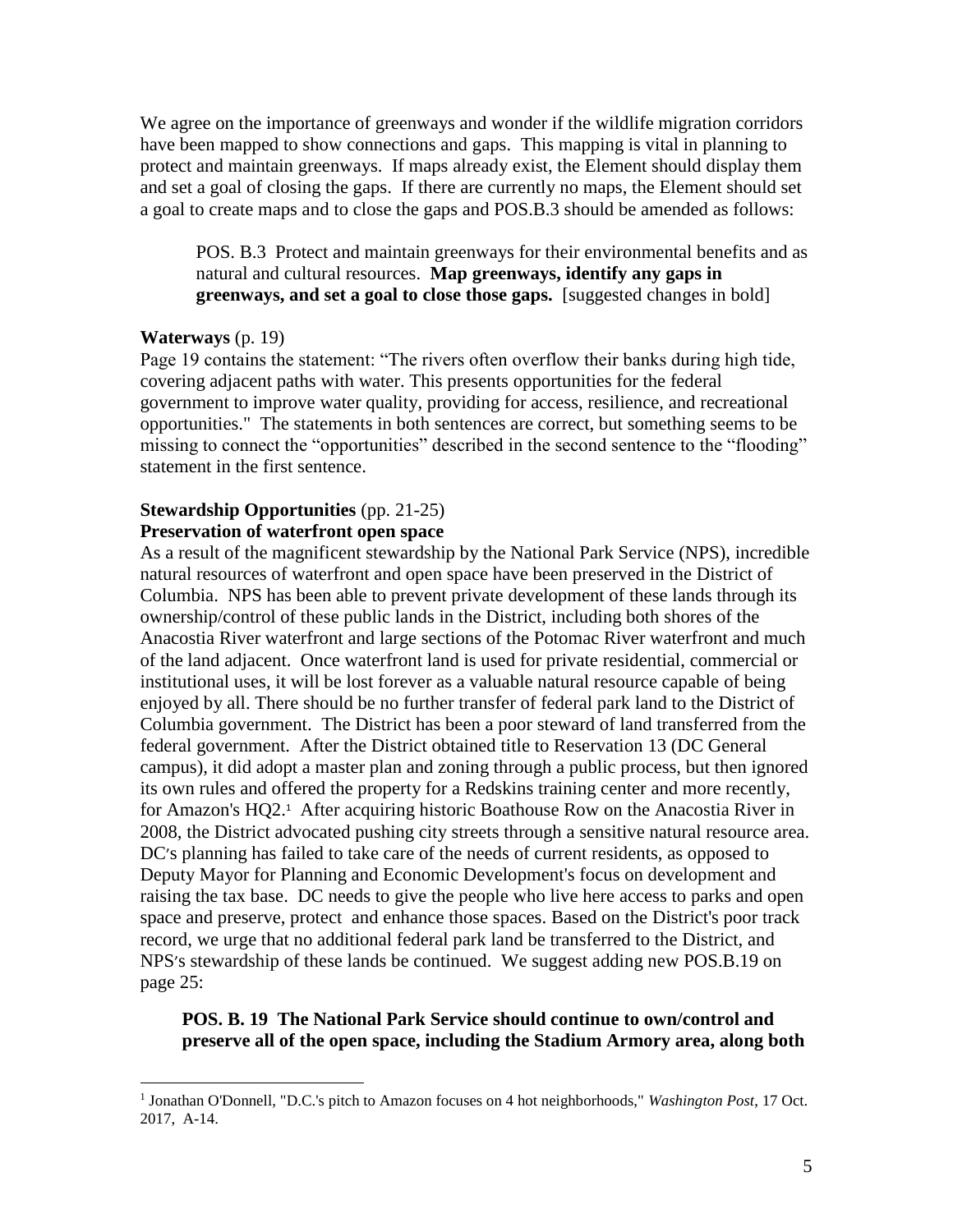We agree on the importance of greenways and wonder if the wildlife migration corridors have been mapped to show connections and gaps. This mapping is vital in planning to protect and maintain greenways. If maps already exist, the Element should display them and set a goal of closing the gaps. If there are currently no maps, the Element should set a goal to create maps and to close the gaps and POS.B.3 should be amended as follows:

POS. B.3 Protect and maintain greenways for their environmental benefits and as natural and cultural resources. **Map greenways, identify any gaps in greenways, and set a goal to close those gaps.** [suggested changes in bold]

#### **Waterways** (p. 19)

 $\overline{a}$ 

Page 19 contains the statement: "The rivers often overflow their banks during high tide, covering adjacent paths with water. This presents opportunities for the federal government to improve water quality, providing for access, resilience, and recreational opportunities." The statements in both sentences are correct, but something seems to be missing to connect the "opportunities" described in the second sentence to the "flooding" statement in the first sentence.

# **Stewardship Opportunities** (pp. 21-25)

## **Preservation of waterfront open space**

As a result of the magnificent stewardship by the National Park Service (NPS), incredible natural resources of waterfront and open space have been preserved in the District of Columbia. NPS has been able to prevent private development of these lands through its ownership/control of these public lands in the District, including both shores of the Anacostia River waterfront and large sections of the Potomac River waterfront and much of the land adjacent. Once waterfront land is used for private residential, commercial or institutional uses, it will be lost forever as a valuable natural resource capable of being enjoyed by all. There should be no further transfer of federal park land to the District of Columbia government. The District has been a poor steward of land transferred from the federal government. After the District obtained title to Reservation 13 (DC General campus), it did adopt a master plan and zoning through a public process, but then ignored its own rules and offered the property for a Redskins training center and more recently, for Amazon's HQ2.<sup>1</sup> After acquiring historic Boathouse Row on the Anacostia River in 2008, the District advocated pushing city streets through a sensitive natural resource area. DC's planning has failed to take care of the needs of current residents, as opposed to Deputy Mayor for Planning and Economic Development's focus on development and raising the tax base. DC needs to give the people who live here access to parks and open space and preserve, protect and enhance those spaces. Based on the District's poor track record, we urge that no additional federal park land be transferred to the District, and NPS's stewardship of these lands be continued.We suggest adding new POS.B.19 on page 25:

#### **POS. B. 19 The National Park Service should continue to own/control and preserve all of the open space, including the Stadium Armory area, along both**

<sup>&</sup>lt;sup>1</sup> Jonathan O'Donnell, "D.C.'s pitch to Amazon focuses on 4 hot neighborhoods," *Washington Post*, 17 Oct. 2017, A-14.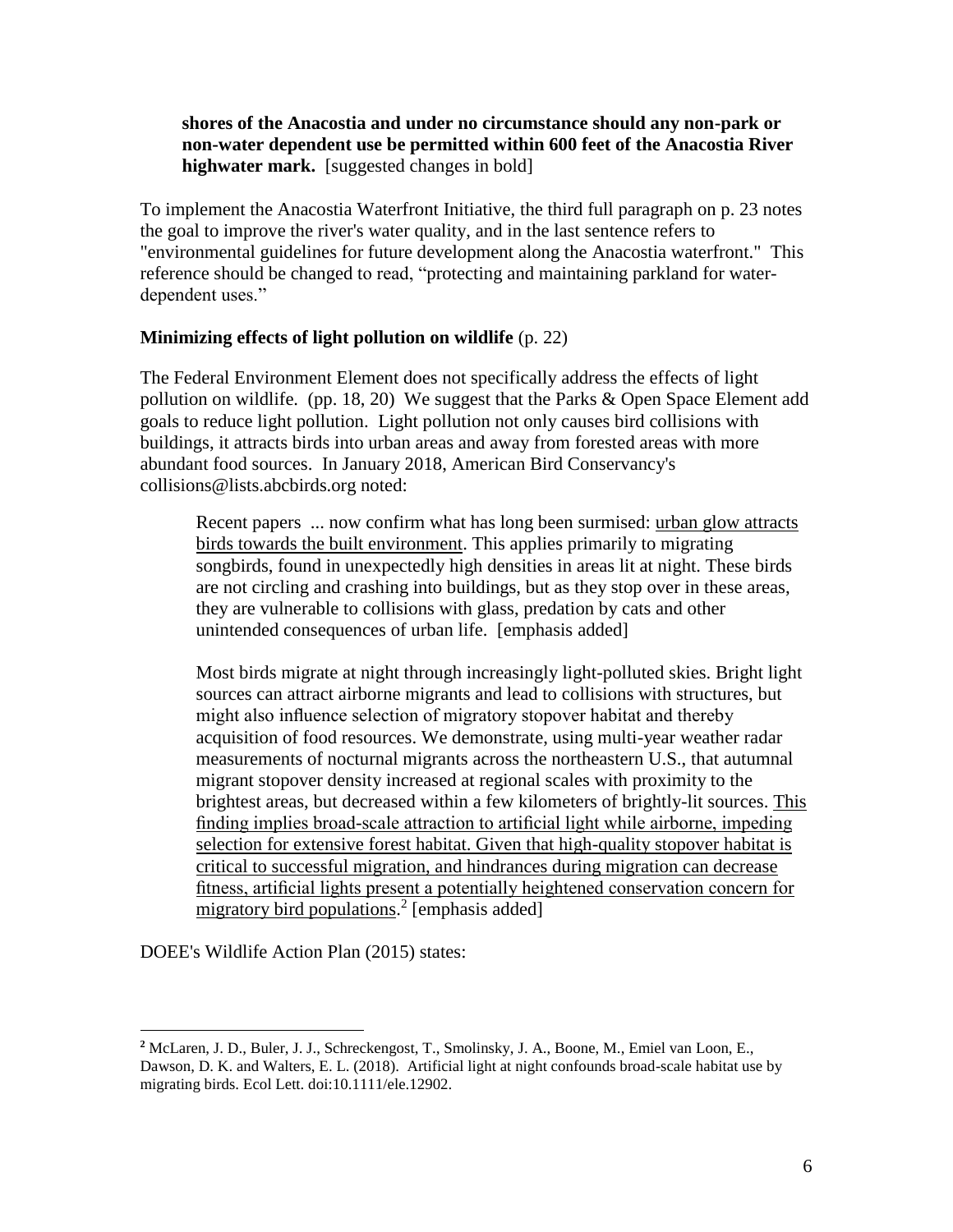## **shores of the Anacostia and under no circumstance should any non-park or non-water dependent use be permitted within 600 feet of the Anacostia River highwater mark.** [suggested changes in bold]

To implement the Anacostia Waterfront Initiative, the third full paragraph on p. 23 notes the goal to improve the river's water quality, and in the last sentence refers to "environmental guidelines for future development along the Anacostia waterfront." This reference should be changed to read, "protecting and maintaining parkland for waterdependent uses."

#### **Minimizing effects of light pollution on wildlife** (p. 22)

The Federal Environment Element does not specifically address the effects of light pollution on wildlife. (pp. 18, 20) We suggest that the Parks & Open Space Element add goals to reduce light pollution. Light pollution not only causes bird collisions with buildings, it attracts birds into urban areas and away from forested areas with more abundant food sources. In January 2018, American Bird Conservancy's collisions@lists.abcbirds.org noted:

Recent papers ... now confirm what has long been surmised: urban glow attracts birds towards the built environment. This applies primarily to migrating songbirds, found in unexpectedly high densities in areas lit at night. These birds are not circling and crashing into buildings, but as they stop over in these areas, they are vulnerable to collisions with glass, predation by cats and other unintended consequences of urban life. [emphasis added]

Most birds migrate at night through increasingly light-polluted skies. Bright light sources can attract airborne migrants and lead to collisions with structures, but might also influence selection of migratory stopover habitat and thereby acquisition of food resources. We demonstrate, using multi-year weather radar measurements of nocturnal migrants across the northeastern U.S., that autumnal migrant stopover density increased at regional scales with proximity to the brightest areas, but decreased within a few kilometers of brightly-lit sources. This finding implies broad-scale attraction to artificial light while airborne, impeding selection for extensive forest habitat. Given that high-quality stopover habitat is critical to successful migration, and hindrances during migration can decrease fitness, artificial lights present a potentially heightened conservation concern for migratory bird populations.<sup>2</sup> [emphasis added]

DOEE's Wildlife Action Plan (2015) states:

 $\overline{a}$ 

**<sup>2</sup>** McLaren, J. D., Buler, J. J., Schreckengost, T., Smolinsky, J. A., Boone, M., Emiel van Loon, E., Dawson, D. K. and Walters, E. L. (2018). Artificial light at night confounds broad-scale habitat use by migrating birds. Ecol Lett. doi:10.1111/ele.12902.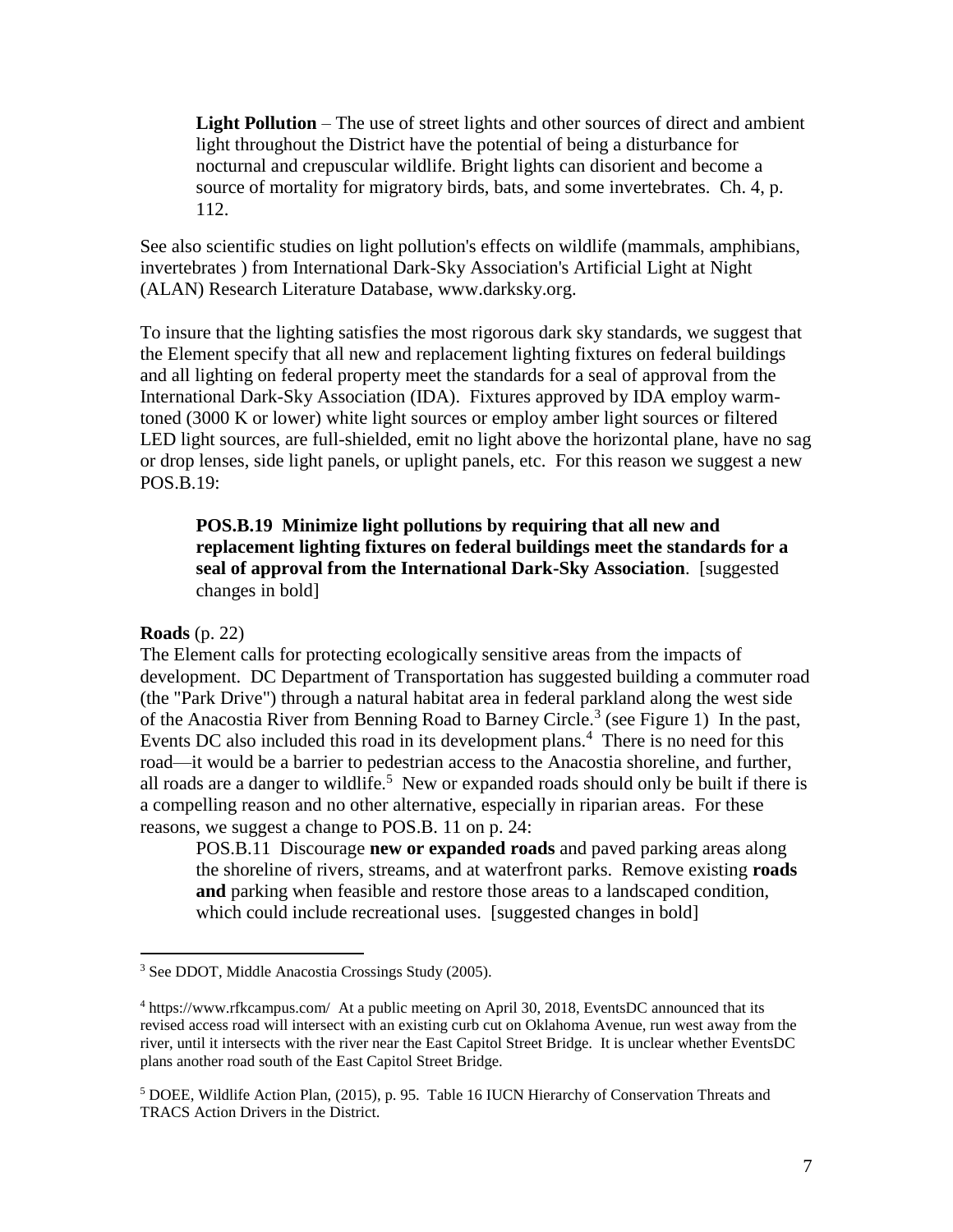**Light Pollution** – The use of street lights and other sources of direct and ambient light throughout the District have the potential of being a disturbance for nocturnal and crepuscular wildlife. Bright lights can disorient and become a source of mortality for migratory birds, bats, and some invertebrates. Ch. 4, p. 112.

See also scientific studies on light pollution's effects on wildlife (mammals, amphibians, invertebrates ) from International Dark-Sky Association's Artificial Light at Night (ALAN) Research Literature Database, www.darksky.org.

To insure that the lighting satisfies the most rigorous dark sky standards, we suggest that the Element specify that all new and replacement lighting fixtures on federal buildings and all lighting on federal property meet the standards for a seal of approval from the International Dark-Sky Association (IDA). Fixtures approved by IDA employ warmtoned (3000 K or lower) white light sources or employ amber light sources or filtered LED light sources, are full-shielded, emit no light above the horizontal plane, have no sag or drop lenses, side light panels, or uplight panels, etc. For this reason we suggest a new POS.B.19:

## **POS.B.19 Minimize light pollutions by requiring that all new and replacement lighting fixtures on federal buildings meet the standards for a seal of approval from the International Dark-Sky Association**. [suggested changes in bold]

#### **Roads** (p. 22)

 $\overline{a}$ 

The Element calls for protecting ecologically sensitive areas from the impacts of development. DC Department of Transportation has suggested building a commuter road (the "Park Drive") through a natural habitat area in federal parkland along the west side of the Anacostia River from Benning Road to Barney Circle.<sup>3</sup> (see Figure 1) In the past, Events DC also included this road in its development plans.<sup>4</sup> There is no need for this road—it would be a barrier to pedestrian access to the Anacostia shoreline, and further, all roads are a danger to wildlife.<sup>5</sup> New or expanded roads should only be built if there is a compelling reason and no other alternative, especially in riparian areas. For these reasons, we suggest a change to POS.B. 11 on p. 24:

POS.B.11 Discourage **new or expanded roads** and paved parking areas along the shoreline of rivers, streams, and at waterfront parks. Remove existing **roads and** parking when feasible and restore those areas to a landscaped condition, which could include recreational uses. [suggested changes in bold]

<sup>3</sup> See DDOT, Middle Anacostia Crossings Study (2005).

<sup>4</sup> https://www.rfkcampus.com/ At a public meeting on April 30, 2018, EventsDC announced that its revised access road will intersect with an existing curb cut on Oklahoma Avenue, run west away from the river, until it intersects with the river near the East Capitol Street Bridge. It is unclear whether EventsDC plans another road south of the East Capitol Street Bridge.

<sup>5</sup> DOEE, Wildlife Action Plan, (2015), p. 95. Table 16 IUCN Hierarchy of Conservation Threats and TRACS Action Drivers in the District.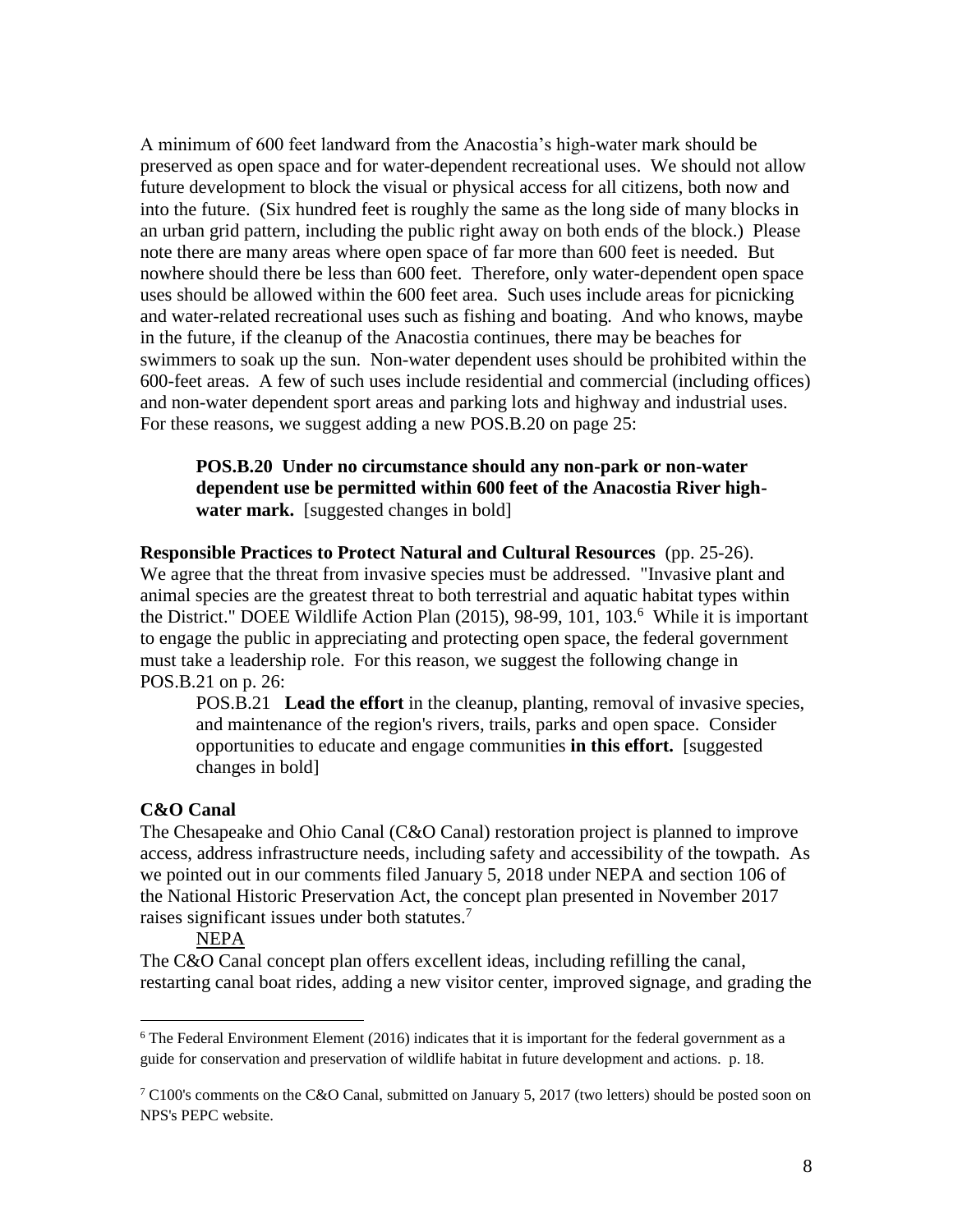A minimum of 600 feet landward from the Anacostia's high-water mark should be preserved as open space and for water-dependent recreational uses. We should not allow future development to block the visual or physical access for all citizens, both now and into the future. (Six hundred feet is roughly the same as the long side of many blocks in an urban grid pattern, including the public right away on both ends of the block.) Please note there are many areas where open space of far more than 600 feet is needed. But nowhere should there be less than 600 feet. Therefore, only water-dependent open space uses should be allowed within the 600 feet area. Such uses include areas for picnicking and water-related recreational uses such as fishing and boating. And who knows, maybe in the future, if the cleanup of the Anacostia continues, there may be beaches for swimmers to soak up the sun. Non-water dependent uses should be prohibited within the 600-feet areas. A few of such uses include residential and commercial (including offices) and non-water dependent sport areas and parking lots and highway and industrial uses. For these reasons, we suggest adding a new POS.B.20 on page 25:

**POS.B.20 Under no circumstance should any non-park or non-water dependent use be permitted within 600 feet of the Anacostia River highwater mark.** [suggested changes in bold]

**Responsible Practices to Protect Natural and Cultural Resources** (pp. 25-26). We agree that the threat from invasive species must be addressed. "Invasive plant and animal species are the greatest threat to both terrestrial and aquatic habitat types within the District." DOEE Wildlife Action Plan (2015), 98-99, 101, 103.<sup>6</sup> While it is important to engage the public in appreciating and protecting open space, the federal government must take a leadership role. For this reason, we suggest the following change in POS.B.21 on p. 26:

POS.B.21 **Lead the effort** in the cleanup, planting, removal of invasive species, and maintenance of the region's rivers, trails, parks and open space. Consider opportunities to educate and engage communities **in this effort.** [suggested changes in bold]

#### **C&O Canal**

 $\overline{a}$ 

The Chesapeake and Ohio Canal (C&O Canal) restoration project is planned to improve access, address infrastructure needs, including safety and accessibility of the towpath. As we pointed out in our comments filed January 5, 2018 under NEPA and section 106 of the National Historic Preservation Act, the concept plan presented in November 2017 raises significant issues under both statutes.<sup>7</sup>

#### NEPA

The C&O Canal concept plan offers excellent ideas, including refilling the canal, restarting canal boat rides, adding a new visitor center, improved signage, and grading the

<sup>6</sup> The Federal Environment Element (2016) indicates that it is important for the federal government as a guide for conservation and preservation of wildlife habitat in future development and actions. p. 18.

 $7 \text{ C}100$ 's comments on the C&O Canal, submitted on January 5, 2017 (two letters) should be posted soon on NPS's PEPC website.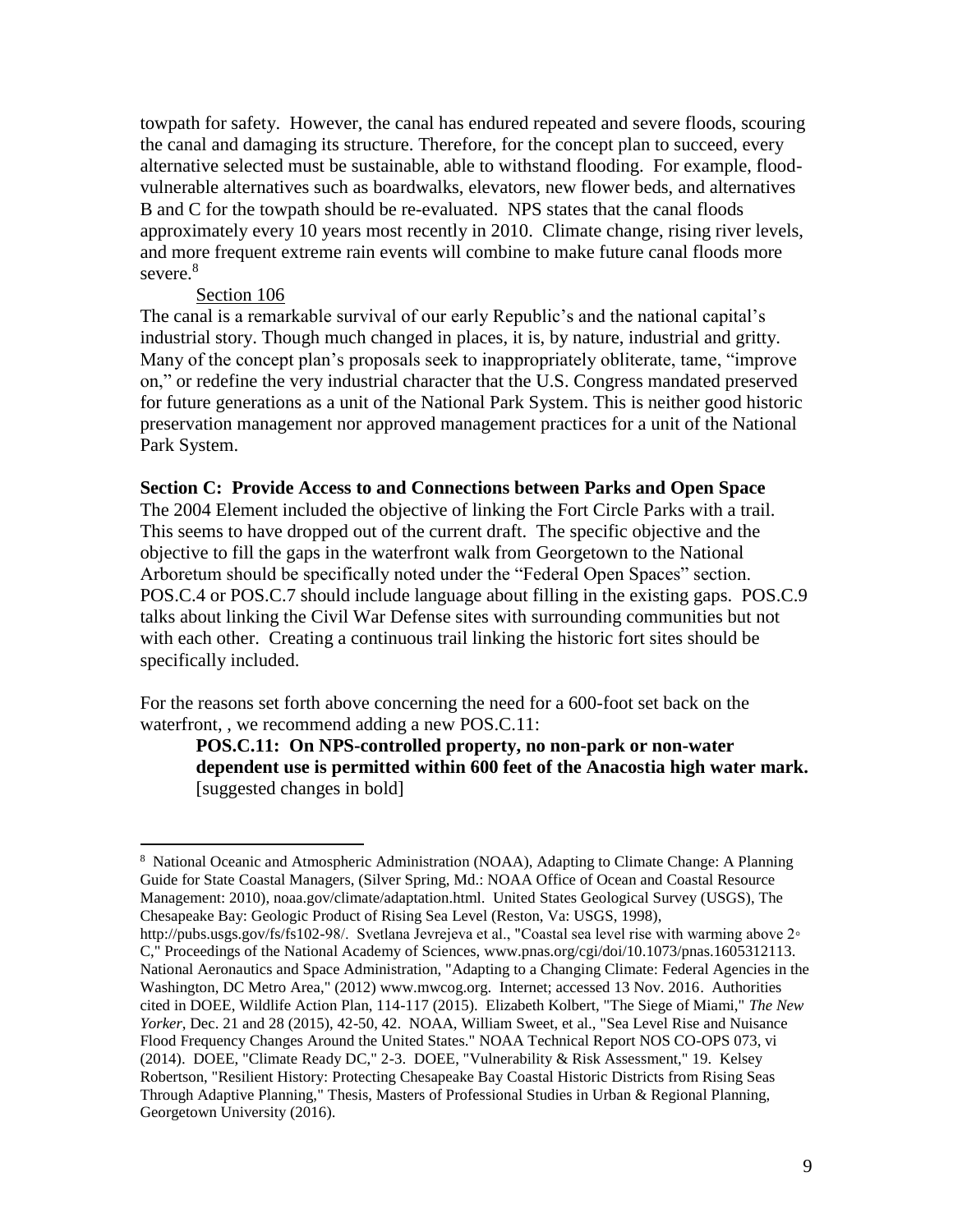towpath for safety. However, the canal has endured repeated and severe floods, scouring the canal and damaging its structure. Therefore, for the concept plan to succeed, every alternative selected must be sustainable, able to withstand flooding. For example, floodvulnerable alternatives such as boardwalks, elevators, new flower beds, and alternatives B and C for the towpath should be re-evaluated. NPS states that the canal floods approximately every 10 years most recently in 2010. Climate change, rising river levels, and more frequent extreme rain events will combine to make future canal floods more severe.<sup>8</sup>

#### Section 106

 $\overline{a}$ 

The canal is a remarkable survival of our early Republic's and the national capital's industrial story. Though much changed in places, it is, by nature, industrial and gritty. Many of the concept plan's proposals seek to inappropriately obliterate, tame, "improve on," or redefine the very industrial character that the U.S. Congress mandated preserved for future generations as a unit of the National Park System. This is neither good historic preservation management nor approved management practices for a unit of the National Park System.

#### **Section C: Provide Access to and Connections between Parks and Open Space**

The 2004 Element included the objective of linking the Fort Circle Parks with a trail. This seems to have dropped out of the current draft. The specific objective and the objective to fill the gaps in the waterfront walk from Georgetown to the National Arboretum should be specifically noted under the "Federal Open Spaces" section. POS.C.4 or POS.C.7 should include language about filling in the existing gaps. POS.C.9 talks about linking the Civil War Defense sites with surrounding communities but not with each other. Creating a continuous trail linking the historic fort sites should be specifically included.

For the reasons set forth above concerning the need for a 600-foot set back on the waterfront, , we recommend adding a new POS.C.11:

**POS.C.11: On NPS-controlled property, no non-park or non-water dependent use is permitted within 600 feet of the Anacostia high water mark.**  [suggested changes in bold]

<sup>8</sup> National Oceanic and Atmospheric Administration (NOAA), Adapting to Climate Change: A Planning Guide for State Coastal Managers, (Silver Spring, Md.: NOAA Office of Ocean and Coastal Resource Management: 2010), noaa.gov/climate/adaptation.html. United States Geological Survey (USGS), The Chesapeake Bay: Geologic Product of Rising Sea Level (Reston, Va: USGS, 1998),

http://pubs.usgs.gov/fs/fs102-98/. Svetlana Jevrejeva et al., "Coastal sea level rise with warming above 2◦ C," Proceedings of the National Academy of Sciences, www.pnas.org/cgi/doi/10.1073/pnas.1605312113. National Aeronautics and Space Administration, "Adapting to a Changing Climate: Federal Agencies in the Washington, DC Metro Area," (2012) www.mwcog.org. Internet; accessed 13 Nov. 2016. Authorities cited in DOEE, Wildlife Action Plan, 114-117 (2015). Elizabeth Kolbert, "The Siege of Miami," *The New Yorker*, Dec. 21 and 28 (2015), 42-50, 42. NOAA, William Sweet, et al., "Sea Level Rise and Nuisance Flood Frequency Changes Around the United States." NOAA Technical Report NOS CO-OPS 073, vi (2014). DOEE, "Climate Ready DC," 2-3. DOEE, "Vulnerability & Risk Assessment," 19. Kelsey Robertson, "Resilient History: Protecting Chesapeake Bay Coastal Historic Districts from Rising Seas Through Adaptive Planning," Thesis, Masters of Professional Studies in Urban & Regional Planning, Georgetown University (2016).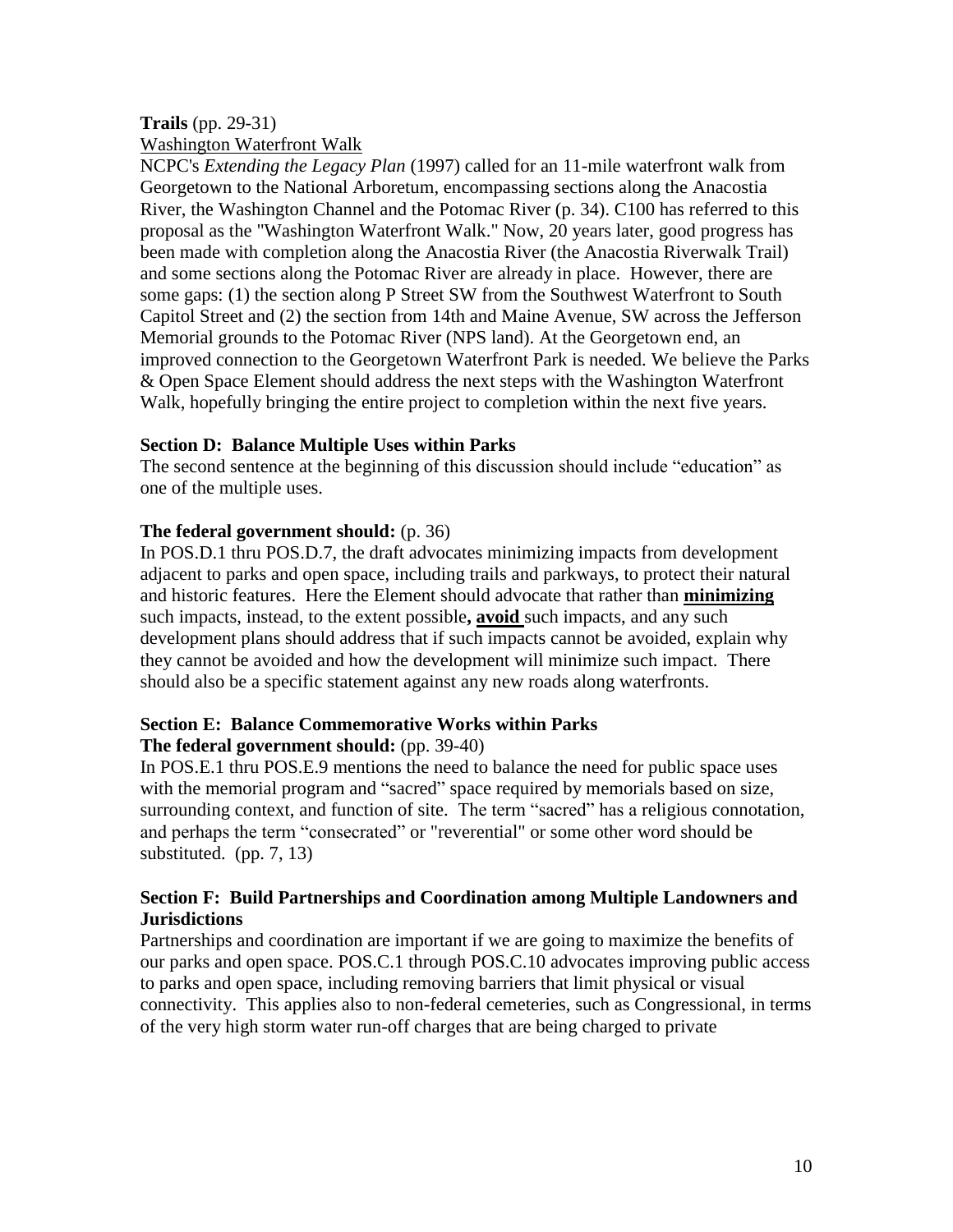# **Trails** (pp. 29-31)

Washington Waterfront Walk

NCPC's *Extending the Legacy Plan* (1997) called for an 11-mile waterfront walk from Georgetown to the National Arboretum, encompassing sections along the Anacostia River, the Washington Channel and the Potomac River (p. 34). C100 has referred to this proposal as the "Washington Waterfront Walk." Now, 20 years later, good progress has been made with completion along the Anacostia River (the Anacostia Riverwalk Trail) and some sections along the Potomac River are already in place. However, there are some gaps: (1) the section along P Street SW from the Southwest Waterfront to South Capitol Street and (2) the section from 14th and Maine Avenue, SW across the Jefferson Memorial grounds to the Potomac River (NPS land). At the Georgetown end, an improved connection to the Georgetown Waterfront Park is needed. We believe the Parks & Open Space Element should address the next steps with the Washington Waterfront Walk, hopefully bringing the entire project to completion within the next five years.

## **Section D: Balance Multiple Uses within Parks**

The second sentence at the beginning of this discussion should include "education" as one of the multiple uses.

## **The federal government should:** (p. 36)

In POS.D.1 thru POS.D.7, the draft advocates minimizing impacts from development adjacent to parks and open space, including trails and parkways, to protect their natural and historic features. Here the Element should advocate that rather than **minimizing** such impacts, instead, to the extent possible**, avoid** such impacts, and any such development plans should address that if such impacts cannot be avoided, explain why they cannot be avoided and how the development will minimize such impact. There should also be a specific statement against any new roads along waterfronts.

# **Section E: Balance Commemorative Works within Parks**

## **The federal government should:** (pp. 39-40)

In POS.E.1 thru POS.E.9 mentions the need to balance the need for public space uses with the memorial program and "sacred" space required by memorials based on size, surrounding context, and function of site. The term "sacred" has a religious connotation, and perhaps the term "consecrated" or "reverential" or some other word should be substituted. (pp. 7, 13)

## **Section F: Build Partnerships and Coordination among Multiple Landowners and Jurisdictions**

Partnerships and coordination are important if we are going to maximize the benefits of our parks and open space. POS.C.1 through POS.C.10 advocates improving public access to parks and open space, including removing barriers that limit physical or visual connectivity. This applies also to non-federal cemeteries, such as Congressional, in terms of the very high storm water run-off charges that are being charged to private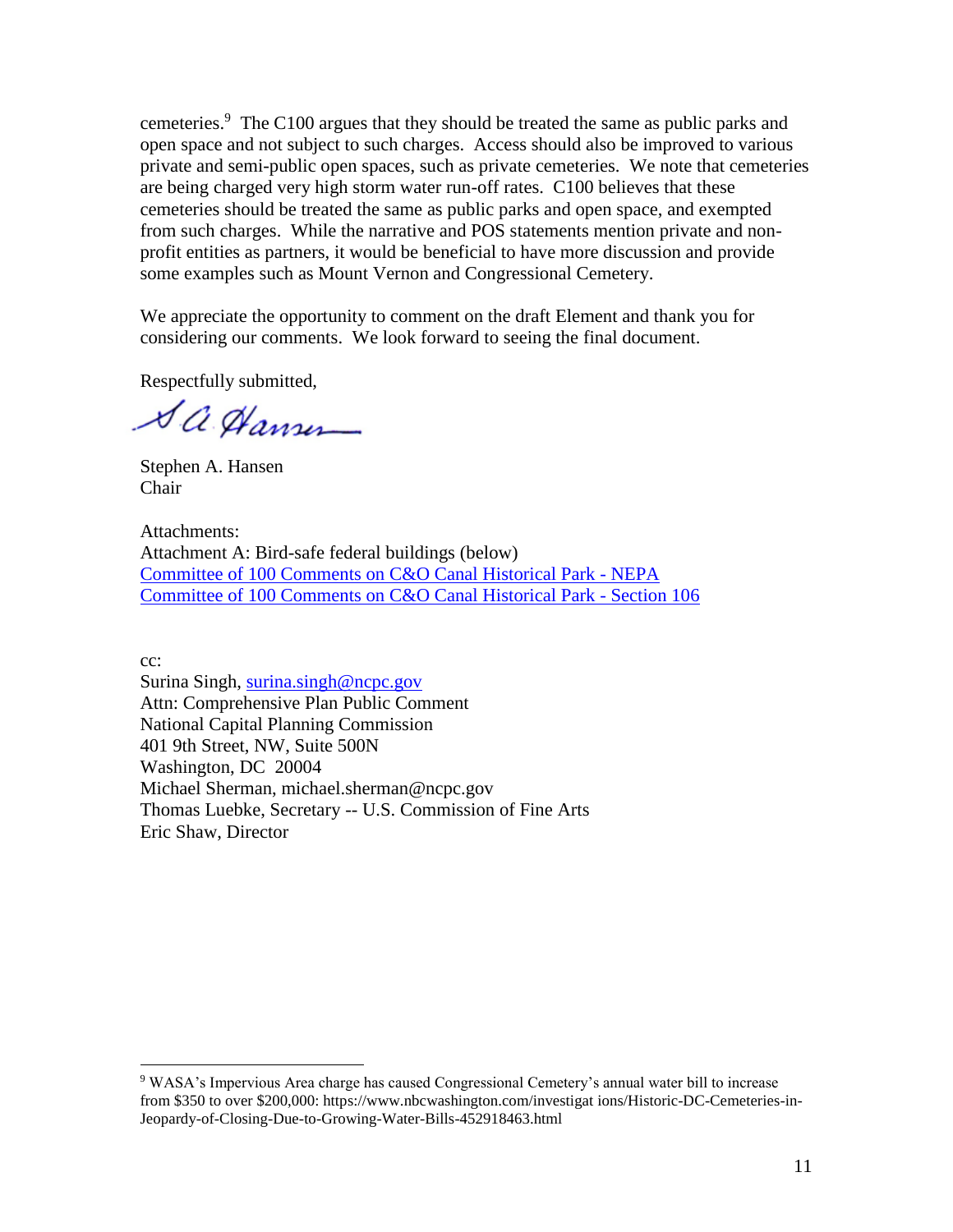cemeteries. 9 The C100 argues that they should be treated the same as public parks and open space and not subject to such charges. Access should also be improved to various private and semi-public open spaces, such as private cemeteries. We note that cemeteries are being charged very high storm water run-off rates. C100 believes that these cemeteries should be treated the same as public parks and open space, and exempted from such charges. While the narrative and POS statements mention private and nonprofit entities as partners, it would be beneficial to have more discussion and provide some examples such as Mount Vernon and Congressional Cemetery.

We appreciate the opportunity to comment on the draft Element and thank you for considering our comments. We look forward to seeing the final document.

Respectfully submitted,

Sa Hansen

Stephen A. Hansen Chair

Attachments: Attachment A: Bird-safe federal buildings (below) [Committee of 100 Comments on C&O Canal Historical Park -](http://committeeof100.net/download/historic_preservation/co_canal/2018-01-5-C100-Comments-on-the-National-Park-Service-Environmental-Assessment-of-the-CO-Canal-National-Historical-Park-Georgetown-Plan_2.pdf) NEPA [Committee of 100 Comments on C&O Canal Historical Park -](http://committeeof100.net/download/historic_preservation/co_canal/2018-01-5-C100-Section-106-Review-Comments-on-the-October-2017-CO-Canal-Concept-Plan.pdf) Section 106

cc:

 $\overline{a}$ 

Surina Singh, [surina.singh@ncpc.gov](mailto:surina.singh@ncpc.gov) Attn: Comprehensive Plan Public Comment National Capital Planning Commission 401 9th Street, NW, Suite 500N Washington, DC 20004 Michael Sherman, michael.sherman@ncpc.gov Thomas Luebke, Secretary -- U.S. Commission of Fine Arts Eric Shaw, Director

<sup>9</sup> WASA's Impervious Area charge has caused Congressional Cemetery's annual water bill to increase from \$350 to over \$200,000: https://www.nbcwashington.com/investigat ions/Historic-DC-Cemeteries-in-Jeopardy-of-Closing-Due-to-Growing-Water-Bills-452918463.html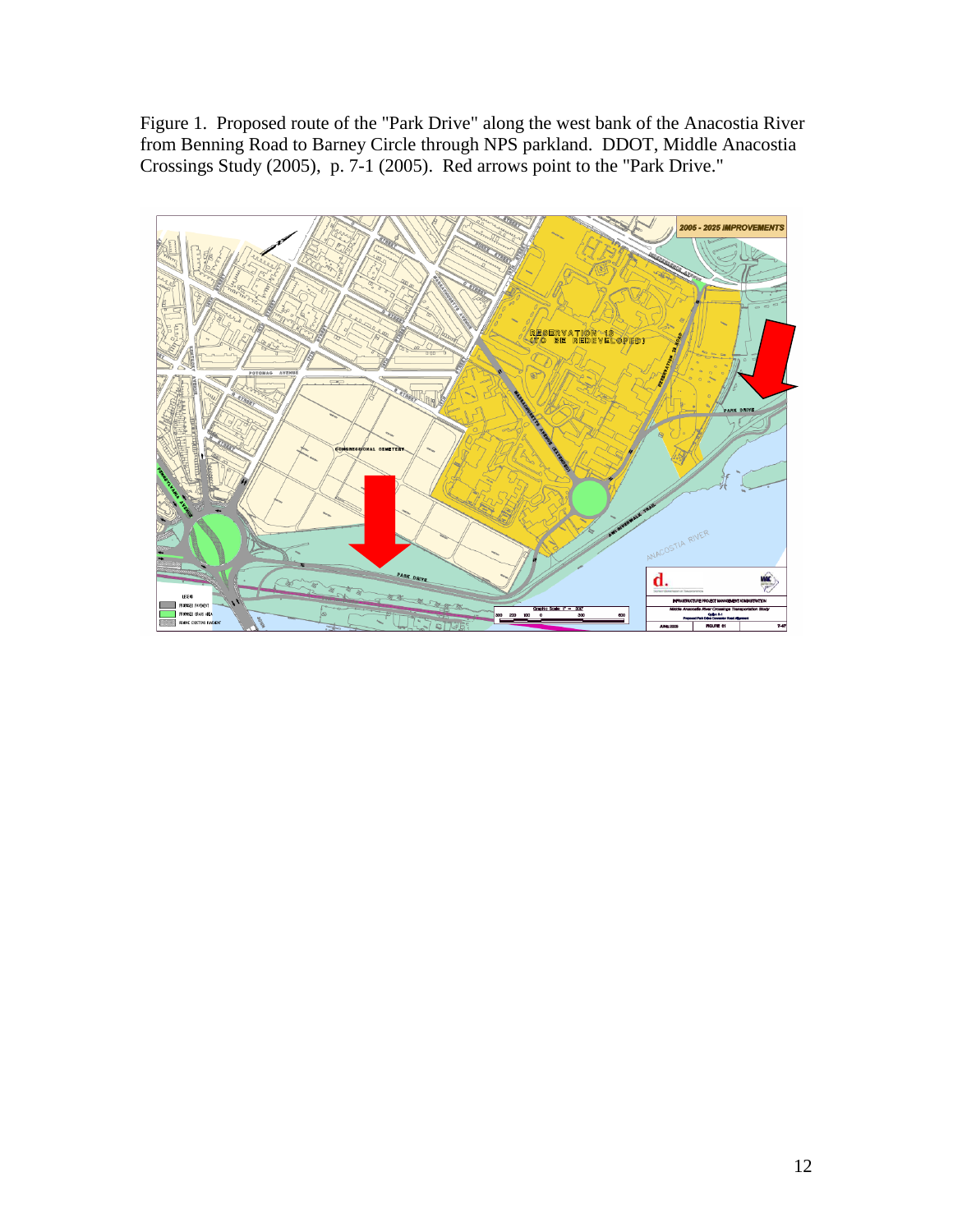Figure 1. Proposed route of the "Park Drive" along the west bank of the Anacostia River from Benning Road to Barney Circle through NPS parkland. DDOT, Middle Anacostia Crossings Study (2005), p. 7-1 (2005). Red arrows point to the "Park Drive."

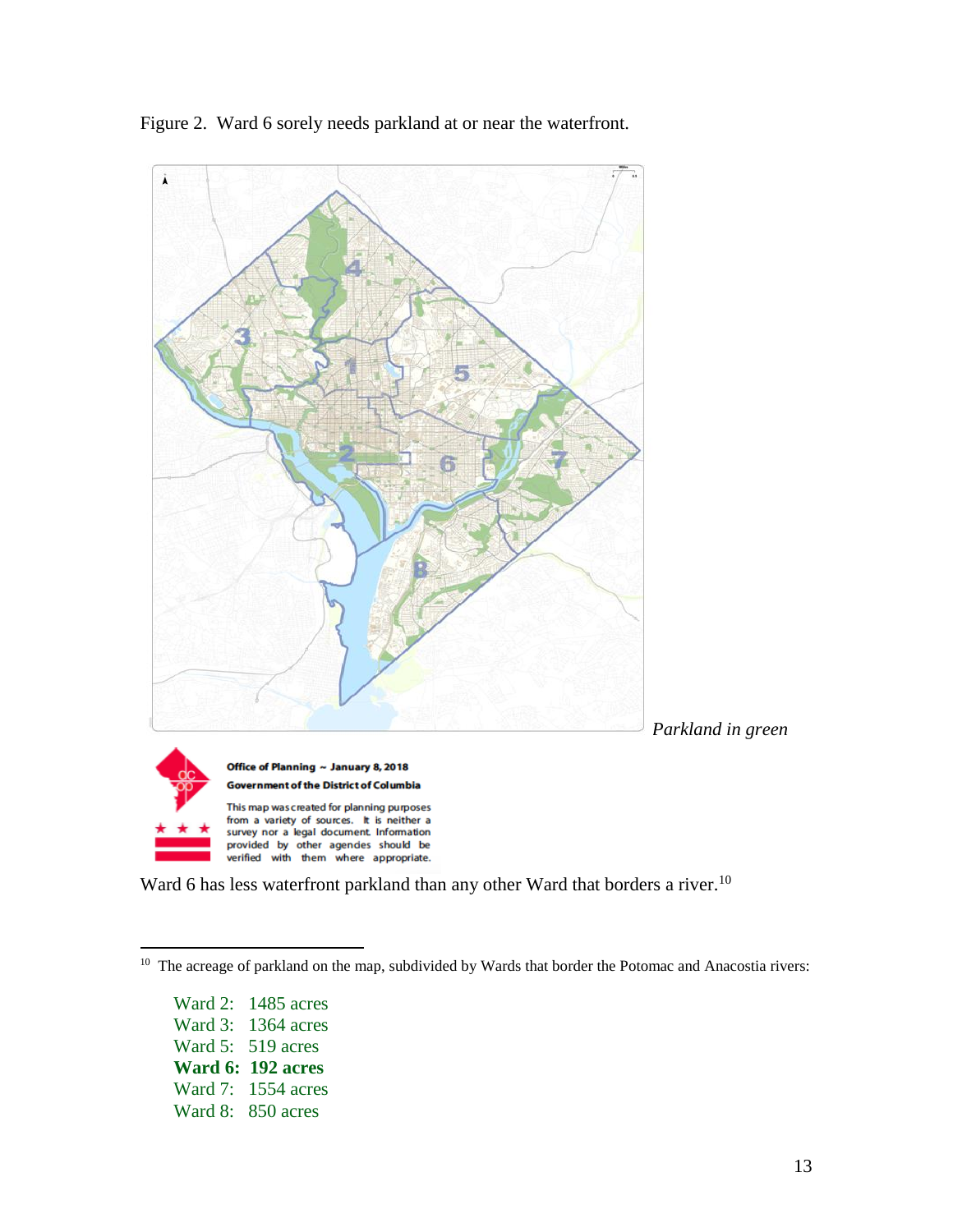



Ward 6 has less waterfront parkland than any other Ward that borders a river.<sup>10</sup>

Ward 2: 1485 acres Ward 3: 1364 acres Ward 5: 519 acres **Ward 6: 192 acres** Ward 7: 1554 acres Ward 8: 850 acres

<sup>&</sup>lt;sup>10</sup> The acreage of parkland on the map, subdivided by Wards that border the Potomac and Anacostia rivers: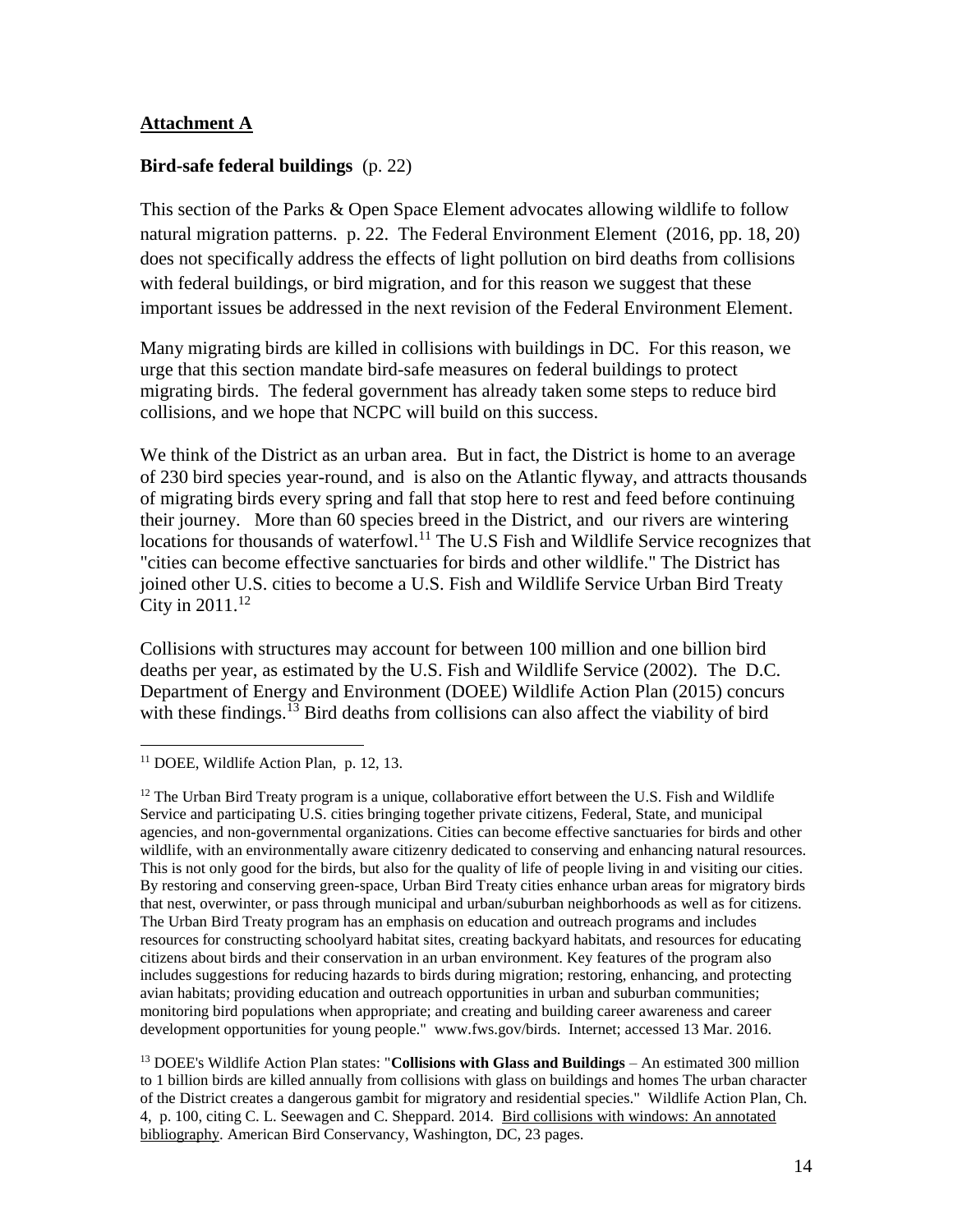## **Attachment A**

## **Bird-safe federal buildings** (p. 22)

This section of the Parks & Open Space Element advocates allowing wildlife to follow natural migration patterns. p. 22. The Federal Environment Element (2016, pp. 18, 20) does not specifically address the effects of light pollution on bird deaths from collisions with federal buildings, or bird migration, and for this reason we suggest that these important issues be addressed in the next revision of the Federal Environment Element.

Many migrating birds are killed in collisions with buildings in DC. For this reason, we urge that this section mandate bird-safe measures on federal buildings to protect migrating birds. The federal government has already taken some steps to reduce bird collisions, and we hope that NCPC will build on this success.

We think of the District as an urban area. But in fact, the District is home to an average of 230 bird species year-round, and is also on the Atlantic flyway, and attracts thousands of migrating birds every spring and fall that stop here to rest and feed before continuing their journey. More than 60 species breed in the District, and our rivers are wintering locations for thousands of waterfowl.<sup>11</sup> The U.S Fish and Wildlife Service recognizes that "cities can become effective sanctuaries for birds and other wildlife." The District has joined other U.S. cities to become a U.S. Fish and Wildlife Service Urban Bird Treaty City in  $2011.^{12}$ 

Collisions with structures may account for between 100 million and one billion bird deaths per year, as estimated by the U.S. Fish and Wildlife Service (2002). The D.C. Department of Energy and Environment (DOEE) Wildlife Action Plan (2015) concurs with these findings.<sup>13</sup> Bird deaths from collisions can also affect the viability of bird

 $\overline{a}$ 

 $12$  The Urban Bird Treaty program is a unique, collaborative effort between the U.S. Fish and Wildlife Service and participating U.S. cities bringing together private citizens, Federal, State, and municipal agencies, and non-governmental organizations. Cities can become effective sanctuaries for birds and other wildlife, with an environmentally aware citizenry dedicated to conserving and enhancing natural resources. This is not only good for the birds, but also for the quality of life of people living in and visiting our cities. By restoring and conserving green-space, Urban Bird Treaty cities enhance urban areas for migratory birds that nest, overwinter, or pass through municipal and urban/suburban neighborhoods as well as for citizens. The Urban Bird Treaty program has an emphasis on education and outreach programs and includes resources for constructing schoolyard habitat sites, creating backyard habitats, and resources for educating citizens about birds and their conservation in an urban environment. Key features of the program also includes suggestions for reducing hazards to birds during migration; restoring, enhancing, and protecting avian habitats; providing education and outreach opportunities in urban and suburban communities; monitoring bird populations when appropriate; and creating and building career awareness and career development opportunities for young people." www.fws.gov/birds. Internet; accessed 13 Mar. 2016.

<sup>13</sup> DOEE's Wildlife Action Plan states: "**Collisions with Glass and Buildings** – An estimated 300 million to 1 billion birds are killed annually from collisions with glass on buildings and homes The urban character of the District creates a dangerous gambit for migratory and residential species." Wildlife Action Plan, Ch. 4, p. 100, citing C. L. Seewagen and C. Sheppard. 2014. Bird collisions with windows: An annotated bibliography. American Bird Conservancy, Washington, DC, 23 pages.

<sup>&</sup>lt;sup>11</sup> DOEE, Wildlife Action Plan, p. 12, 13.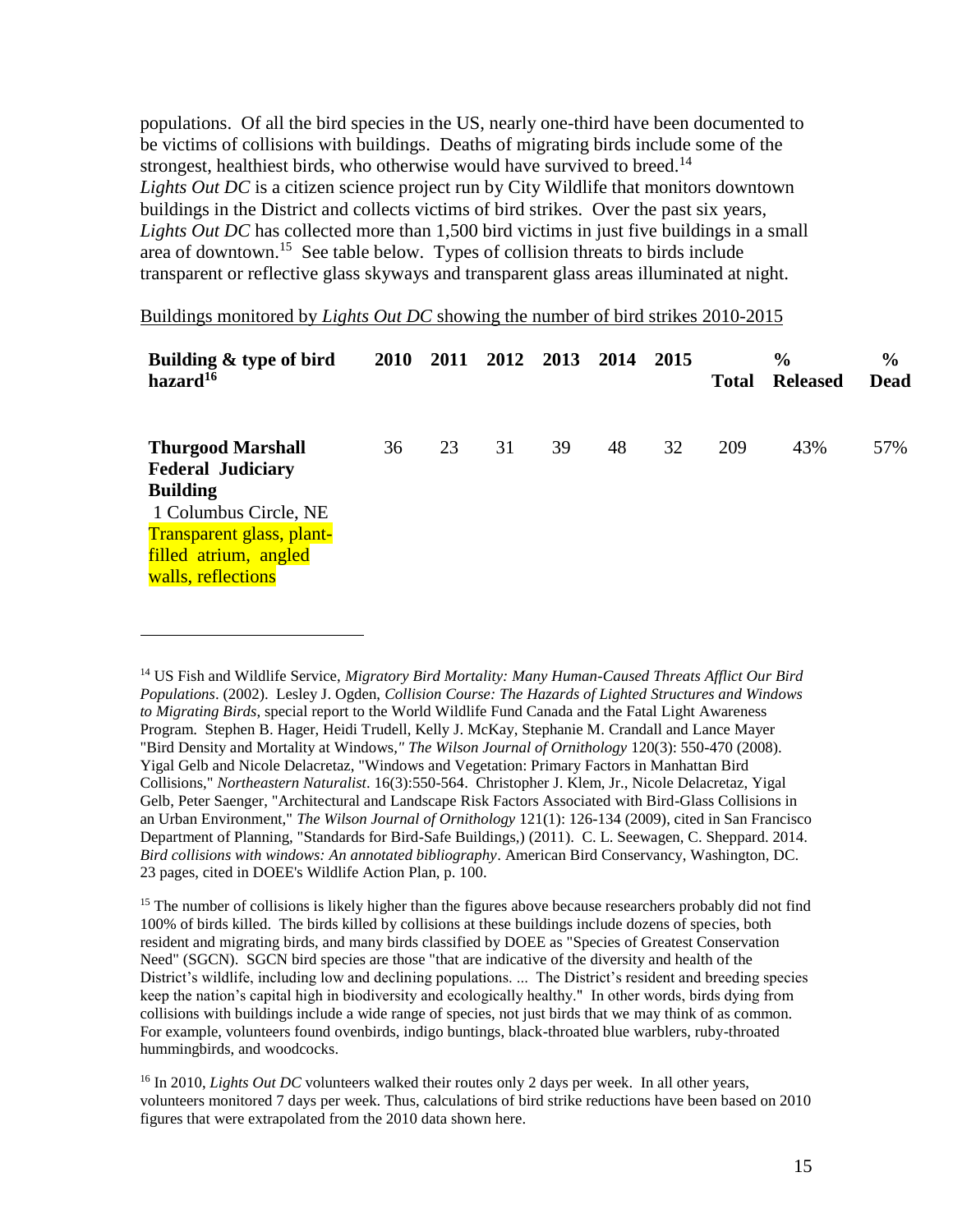populations. Of all the bird species in the US, nearly one-third have been documented to be victims of collisions with buildings. Deaths of migrating birds include some of the strongest, healthiest birds, who otherwise would have survived to breed.<sup>14</sup> *Lights Out DC* is a citizen science project run by City Wildlife that monitors downtown buildings in the District and collects victims of bird strikes. Over the past six years, *Lights Out DC* has collected more than 1,500 bird victims in just five buildings in a small area of downtown.<sup>15</sup> See table below. Types of collision threats to birds include transparent or reflective glass skyways and transparent glass areas illuminated at night.

Buildings monitored by *Lights Out DC* showing the number of bird strikes 2010-2015

| Building & type of bird<br>hazard <sup>16</sup>                                                                                                                              | 2010 | 2011 | 2012 | 2013 | 2014 | 2015 | <b>Total</b> | $\frac{6}{6}$<br><b>Released</b> | $\frac{6}{9}$<br>Dead |
|------------------------------------------------------------------------------------------------------------------------------------------------------------------------------|------|------|------|------|------|------|--------------|----------------------------------|-----------------------|
| <b>Thurgood Marshall</b><br><b>Federal Judiciary</b><br><b>Building</b><br>1 Columbus Circle, NE<br>Transparent glass, plant-<br>filled atrium, angled<br>walls, reflections | 36   | 23   | 31   | 39   | 48   | 32   | 209          | 43%                              | 57%                   |

 $\overline{a}$ 

<sup>14</sup> US Fish and Wildlife Service, *Migratory Bird Mortality: Many Human-Caused Threats Afflict Our Bird Populations*. (2002). Lesley J. Ogden, *Collision Course: The Hazards of Lighted Structures and Windows to Migrating Birds*, special report to the World Wildlife Fund Canada and the Fatal Light Awareness Program. Stephen B. Hager, Heidi Trudell, Kelly J. McKay, Stephanie M. Crandall and Lance Mayer "Bird Density and Mortality at Windows*," The Wilson Journal of Ornithology* 120(3): 550-470 (2008). Yigal Gelb and Nicole Delacretaz, "Windows and Vegetation: Primary Factors in Manhattan Bird Collisions," *Northeastern Naturalist*. 16(3):550-564. Christopher J. Klem, Jr., Nicole Delacretaz, Yigal Gelb, Peter Saenger, "Architectural and Landscape Risk Factors Associated with Bird-Glass Collisions in an Urban Environment," *The Wilson Journal of Ornithology* 121(1): 126-134 (2009), cited in San Francisco Department of Planning, "Standards for Bird-Safe Buildings,) (2011). C. L. Seewagen, C. Sheppard. 2014. *Bird collisions with windows: An annotated bibliography*. American Bird Conservancy, Washington, DC. 23 pages, cited in DOEE's Wildlife Action Plan, p. 100.

<sup>&</sup>lt;sup>15</sup> The number of collisions is likely higher than the figures above because researchers probably did not find 100% of birds killed. The birds killed by collisions at these buildings include dozens of species, both resident and migrating birds, and many birds classified by DOEE as "Species of Greatest Conservation Need" (SGCN). SGCN bird species are those "that are indicative of the diversity and health of the District's wildlife, including low and declining populations. ... The District's resident and breeding species keep the nation's capital high in biodiversity and ecologically healthy." In other words, birds dying from collisions with buildings include a wide range of species, not just birds that we may think of as common. For example, volunteers found ovenbirds, indigo buntings, black-throated blue warblers, ruby-throated hummingbirds, and woodcocks.

<sup>&</sup>lt;sup>16</sup> In 2010, *Lights Out DC* volunteers walked their routes only 2 days per week. In all other years, volunteers monitored 7 days per week. Thus, calculations of bird strike reductions have been based on 2010 figures that were extrapolated from the 2010 data shown here.